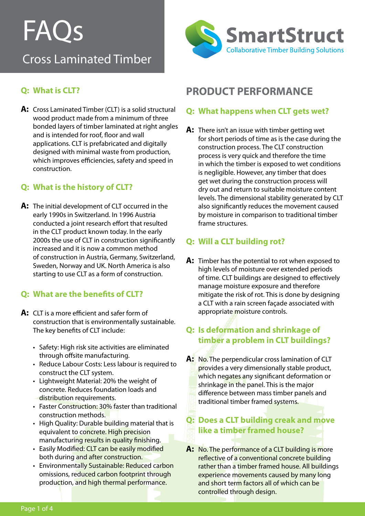## FAQs Cross Laminated Timber



## **Q: What is CLT?**

**A:** Cross Laminated Timber (CLT) is a solid structural wood product made from a minimum of three bonded layers of timber laminated at right angles and is intended for roof, floor and wall applications. CLT is prefabricated and digitally designed with minimal waste from production, which improves efficiencies, safety and speed in construction.

## **Q: What is the history of CLT?**

**A:** The initial development of CLT occurred in the early 1990s in Switzerland. In 1996 Austria conducted a joint research effort that resulted in the CLT product known today. In the early 2000s the use of CLT in construction significantly increased and it is now a common method of construction in Austria, Germany, Switzerland, Sweden, Norway and UK. North America is also starting to use CLT as a form of construction.

## **Q: What are the benefits of CLT?**

- **A:** CLT is a more efficient and safer form of construction that is environmentally sustainable. The key benefits of CLT include:
	- Safety: High risk site activities are eliminated through offsite manufacturing.
	- Reduce Labour Costs: Less labour is required to construct the CLT system.
	- • Lightweight Material: 20% the weight of concrete. Reduces foundation loads and distribution requirements.
	- Faster Construction: 30% faster than traditional construction methods.
	- High Quality: Durable building material that is equivalent to concrete. High precision manufacturing results in quality finishing.
	- Easily Modified: CLT can be easily modified both during and after construction.
	- Environmentally Sustainable: Reduced carbon omissions, reduced carbon footprint through production, and high thermal performance.

## **PRODUCT PERFORMANCE**

## **Q: What happens when CLT gets wet?**

**A:** There isn't an issue with timber getting wet for short periods of time as is the case during the construction process. The CLT construction process is very quick and therefore the time in which the timber is exposed to wet conditions is negligible. However, any timber that does get wet during the construction process will dry out and return to suitable moisture content levels. The dimensional stability generated by CLT also significantly reduces the movement caused by moisture in comparison to traditional timber frame structures.

## **Q: Will a CLT building rot?**

**A:** Timber has the potential to rot when exposed to high levels of moisture over extended periods of time. CLT buildings are designed to effectively manage moisture exposure and therefore mitigate the risk of rot. This is done by designing a CLT with a rain screen façade associated with appropriate moisture controls.

## **Q: Is deformation and shrinkage of timber a problem in CLT buildings?**

**A:** No. The perpendicular cross lamination of CLT provides a very dimensionally stable product, which negates any significant deformation or shrinkage in the panel. This is the major difference between mass timber panels and traditional timber framed systems.

## **Q: Does a CLT building creak and move like a timber framed house?**

**A:** No. The performance of a CLT building is more reflective of a conventional concrete building rather than a timber framed house. All buildings experience movements caused by many long and short term factors all of which can be controlled through design.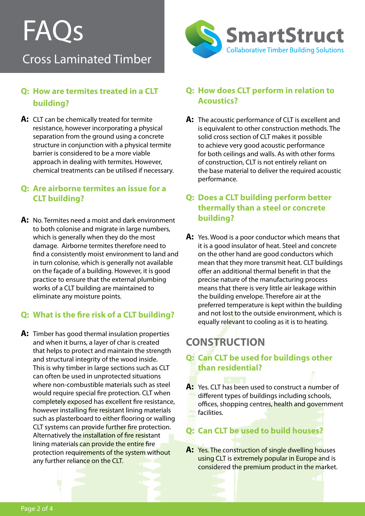# FAQs

## Cross Laminated Timber

## **Q: How are termites treated in a CLT building?**

**A:** CLT can be chemically treated for termite resistance, however incorporating a physical separation from the ground using a concrete structure in conjunction with a physical termite barrier is considered to be a more viable approach in dealing with termites. However, chemical treatments can be utilised if necessary.

#### **Q: Are airborne termites an issue for a CLT building?**

**A:** No. Termites need a moist and dark environment to both colonise and migrate in large numbers, which is generally when they do the most damage. Airborne termites therefore need to find a consistently moist environment to land and in turn colonise, which is generally not available on the façade of a building. However, it is good practice to ensure that the external plumbing works of a CLT building are maintained to eliminate any moisture points.

## **Q: What is the fire risk of a CLT building?**

**A:** Timber has good thermal insulation properties and when it burns, a layer of char is created that helps to protect and maintain the strength and structural integrity of the wood inside. This is why timber in large sections such as CLT can often be used in unprotected situations where non-combustible materials such as steel would require special fire protection. CLT when completely exposed has excellent fire resistance, however installing fire resistant lining materials such as plasterboard to either flooring or walling CLT systems can provide further fire protection. Alternatively the installation of fire resistant lining materials can provide the entire fire protection requirements of the system without any further reliance on the CLT.



#### **Q: How does CLT perform in relation to Acoustics?**

**A:** The acoustic performance of CLT is excellent and is equivalent to other construction methods. The solid cross section of CLT makes it possible to achieve very good acoustic performance for both ceilings and walls. As with other forms of construction, CLT is not entirely reliant on the base material to deliver the required acoustic performance.

## **Q: Does a CLT building perform better thermally than a steel or concrete building?**

**A:** Yes. Wood is a poor conductor which means that it is a good insulator of heat. Steel and concrete on the other hand are good conductors which mean that they more transmit heat. CLT buildings offer an additional thermal benefit in that the precise nature of the manufacturing process means that there is very little air leakage within the building envelope. Therefore air at the preferred temperature is kept within the building and not lost to the outside environment, which is equally relevant to cooling as it is to heating.

## **CONSTRUCTION**

## **Q: Can CLT be used for buildings other than residential?**

**A:** Yes. CLT has been used to construct a number of different types of buildings including schools, offices, shopping centres, health and government facilities.

## **Q: Can CLT be used to build houses?**

A: Yes. The construction of single dwelling houses using CLT is extremely popular in Europe and is considered the premium product in the market.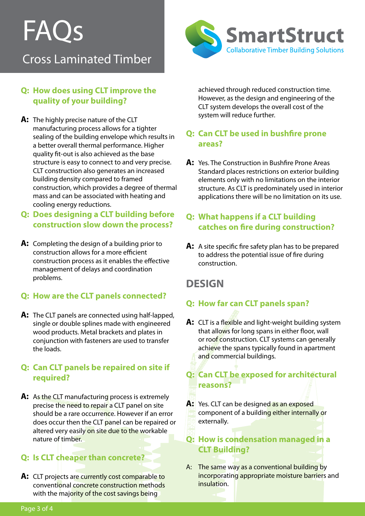# FAQs

## Cross Laminated Timber



#### **Q: How does using CLT improve the quality of your building?**

**A:** The highly precise nature of the CLT manufacturing process allows for a tighter sealing of the building envelope which results in a better overall thermal performance. Higher quality fit-out is also achieved as the base structure is easy to connect to and very precise. CLT construction also generates an increased building density compared to framed construction, which provides a degree of thermal mass and can be associated with heating and cooling energy reductions.

## **Q: Does designing a CLT building before construction slow down the process?**

**A:** Completing the design of a building prior to construction allows for a more efficient construction process as it enables the effective management of delays and coordination problems.

## **Q: How are the CLT panels connected?**

**A:** The CLT panels are connected using half-lapped, single or double splines made with engineered wood products. Metal brackets and plates in conjunction with fasteners are used to transfer the loads.

#### **Q: Can CLT panels be repaired on site if required?**

**A:** As the CLT manufacturing process is extremely precise the need to repair a CLT panel on site should be a rare occurrence. However if an error does occur then the CLT panel can be repaired or altered very easily on site due to the workable nature of timber.

## **Q: Is CLT cheaper than concrete?**

A: CLT projects are currently cost comparable to conventional concrete construction methods with the majority of the cost savings being

achieved through reduced construction time. However, as the design and engineering of the CLT system develops the overall cost of the system will reduce further.

## **Q: Can CLT be used in bushfire prone areas?**

A: Yes. The Construction in Bushfire Prone Areas Standard places restrictions on exterior building elements only with no limitations on the interior structure. As CLT is predominately used in interior applications there will be no limitation on its use.

## **Q: What happens if a CLT building catches on fire during construction?**

**A:** A site specific fire safety plan has to be prepared to address the potential issue of fire during construction.

## **DESIGN**

## **Q: How far can CLT panels span?**

**A:** CLT is a flexible and light-weight building system that allows for long spans in either floor, wall or roof construction. CLT systems can generally achieve the spans typically found in apartment and commercial buildings.

## **Q: Can CLT be exposed for architectural reasons?**

A: Yes. CLT can be designed as an exposed component of a building either internally or externally.

## **Q: How is condensation managed in a CLT Building?**

A: The same way as a conventional building by incorporating appropriate moisture barriers and insulation.